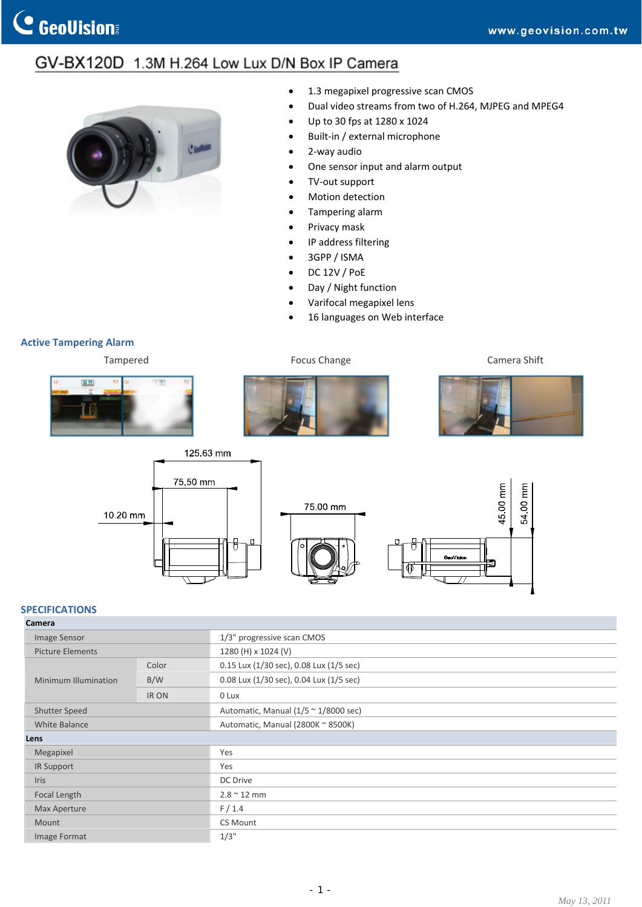## GV-BX120D 1.3M H.264 Low Lux D/N Box IP Camera



- 1.3 megapixel progressive scan CMOS
- Dual video streams from two of H.264, MJPEG and MPEG4
- Up to 30 fps at 1280 x 1024
- Built-in / external microphone
- 2‐way audio
- One sensor input and alarm output
- TV-out support
- Motion detection
- Tampering alarm
- Privacy mask
- IP address filtering
- 3GPP / ISMA
- DC 12V / PoE
- Day / Night function
- Varifocal megapixel lens
- 16 languages on Web interface

## **Active Tampering Alarm**











## **SPECIFICATIONS**

| Camera                  |       |                                                      |
|-------------------------|-------|------------------------------------------------------|
| Image Sensor            |       | 1/3" progressive scan CMOS                           |
| <b>Picture Elements</b> |       | 1280 (H) x 1024 (V)                                  |
| Minimum Illumination    | Color | 0.15 Lux (1/30 sec), 0.08 Lux (1/5 sec)              |
|                         | B/W   | 0.08 Lux (1/30 sec), 0.04 Lux (1/5 sec)              |
|                         | IR ON | 0 Lux                                                |
| <b>Shutter Speed</b>    |       | Automatic, Manual $(1/5 \approx 1/8000 \text{ sec})$ |
| <b>White Balance</b>    |       | Automatic, Manual (2800K ~ 8500K)                    |
| Lens                    |       |                                                      |
| Megapixel               |       | Yes                                                  |
| IR Support              |       | Yes                                                  |
| <b>Iris</b>             |       | DC Drive                                             |
| Focal Length            |       | $2.8 \sim 12$ mm                                     |
| <b>Max Aperture</b>     |       | F/1.4                                                |
| Mount                   |       | CS Mount                                             |
| Image Format            |       | 1/3"                                                 |